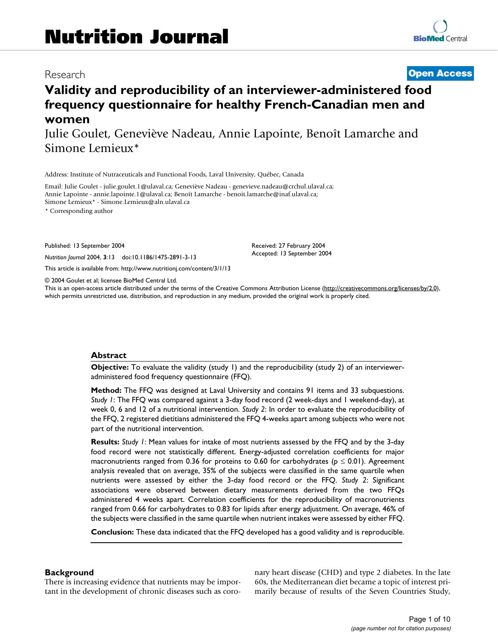# Research **[Open Access](http://www.biomedcentral.com/info/about/charter/)**

# **Validity and reproducibility of an interviewer-administered food frequency questionnaire for healthy French-Canadian men and women**

Julie Goulet, Geneviève Nadeau, Annie Lapointe, Benoît Lamarche and Simone Lemieux\*

Address: Institute of Nutraceuticals and Functional Foods, Laval University, Québec, Canada

Email: Julie Goulet - julie.goulet.1@ulaval.ca; Geneviève Nadeau - genevieve.nadeau@crchul.ulaval.ca; Annie Lapointe - annie.lapointe.1@ulaval.ca; Benoît Lamarche - benoit.lamarche@inaf.ulaval.ca; Simone Lemieux\* - Simone.Lemieux@aln.ulaval.ca

\* Corresponding author

Published: 13 September 2004

*Nutrition Journal* 2004, **3**:13 doi:10.1186/1475-2891-3-13

[This article is available from: http://www.nutritionj.com/content/3/1/13](http://www.nutritionj.com/content/3/1/13)

© 2004 Goulet et al; licensee BioMed Central Ltd.

This is an open-access article distributed under the terms of the Creative Commons Attribution License (<http://creativecommons.org/licenses/by/2.0>), which permits unrestricted use, distribution, and reproduction in any medium, provided the original work is properly cited.

Received: 27 February 2004 Accepted: 13 September 2004

#### **Abstract**

**Objective:** To evaluate the validity (study 1) and the reproducibility (study 2) of an intervieweradministered food frequency questionnaire (FFQ).

**Method:** The FFQ was designed at Laval University and contains 91 items and 33 subquestions. *Study 1*: The FFQ was compared against a 3-day food record (2 week-days and 1 weekend-day), at week 0, 6 and 12 of a nutritional intervention. *Study 2*: In order to evaluate the reproducibility of the FFQ, 2 registered dietitians administered the FFQ 4-weeks apart among subjects who were not part of the nutritional intervention.

**Results:** *Study 1*: Mean values for intake of most nutrients assessed by the FFQ and by the 3-day food record were not statistically different. Energy-adjusted correlation coefficients for major macronutrients ranged from 0.36 for proteins to 0.60 for carbohydrates ( $p \le 0.01$ ). Agreement analysis revealed that on average, 35% of the subjects were classified in the same quartile when nutrients were assessed by either the 3-day food record or the FFQ. *Study 2*: Significant associations were observed between dietary measurements derived from the two FFQs administered 4 weeks apart. Correlation coefficients for the reproducibility of macronutrients ranged from 0.66 for carbohydrates to 0.83 for lipids after energy adjustment. On average, 46% of the subjects were classified in the same quartile when nutrient intakes were assessed by either FFQ.

**Conclusion:** These data indicated that the FFQ developed has a good validity and is reproducible.

#### **Background**

There is increasing evidence that nutrients may be important in the development of chronic diseases such as coronary heart disease (CHD) and type 2 diabetes. In the late 60s, the Mediterranean diet became a topic of interest primarily because of results of the Seven Countries Study,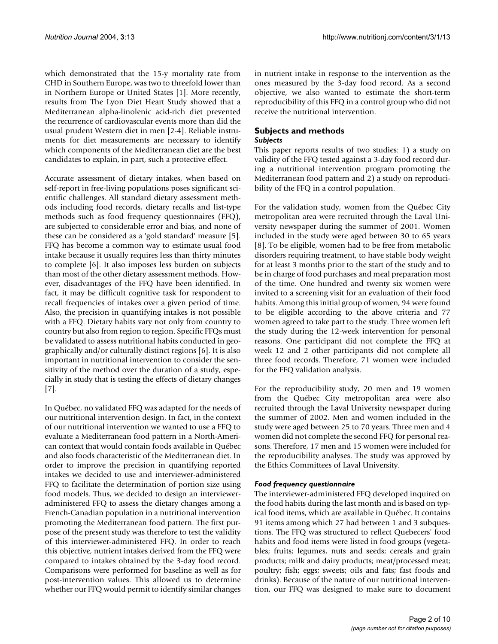which demonstrated that the 15-y mortality rate from CHD in Southern Europe, was two to threefold lower than in Northern Europe or United States [1]. More recently, results from The Lyon Diet Heart Study showed that a Mediterranean alpha-linolenic acid-rich diet prevented the recurrence of cardiovascular events more than did the usual prudent Western diet in men [2-4]. Reliable instruments for diet measurements are necessary to identify which components of the Mediterranean diet are the best candidates to explain, in part, such a protective effect.

Accurate assessment of dietary intakes, when based on self-report in free-living populations poses significant scientific challenges. All standard dietary assessment methods including food records, dietary recalls and list-type methods such as food frequency questionnaires (FFQ), are subjected to considerable error and bias, and none of these can be considered as a 'gold standard' measure [5]. FFQ has become a common way to estimate usual food intake because it usually requires less than thirty minutes to complete [6]. It also imposes less burden on subjects than most of the other dietary assessment methods. However, disadvantages of the FFQ have been identified. In fact, it may be difficult cognitive task for respondent to recall frequencies of intakes over a given period of time. Also, the precision in quantifying intakes is not possible with a FFQ. Dietary habits vary not only from country to country but also from region to region. Specific FFQs must be validated to assess nutritional habits conducted in geographically and/or culturally distinct regions [6]. It is also important in nutritional intervention to consider the sensitivity of the method over the duration of a study, especially in study that is testing the effects of dietary changes [7].

In Québec, no validated FFQ was adapted for the needs of our nutritional intervention design. In fact, in the context of our nutritional intervention we wanted to use a FFQ to evaluate a Mediterranean food pattern in a North-American context that would contain foods available in Québec and also foods characteristic of the Mediterranean diet. In order to improve the precision in quantifying reported intakes we decided to use and interviewer-administered FFQ to facilitate the determination of portion size using food models. Thus, we decided to design an intervieweradministered FFQ to assess the dietary changes among a French-Canadian population in a nutritional intervention promoting the Mediterranean food pattern. The first purpose of the present study was therefore to test the validity of this interviewer-administered FFQ. In order to reach this objective, nutrient intakes derived from the FFQ were compared to intakes obtained by the 3-day food record. Comparisons were performed for baseline as well as for post-intervention values. This allowed us to determine whether our FFQ would permit to identify similar changes

in nutrient intake in response to the intervention as the ones measured by the 3-day food record. As a second objective, we also wanted to estimate the short-term reproducibility of this FFQ in a control group who did not receive the nutritional intervention.

#### **Subjects and methods** *Subjects*

This paper reports results of two studies: 1) a study on validity of the FFQ tested against a 3-day food record during a nutritional intervention program promoting the Mediterranean food pattern and 2) a study on reproducibility of the FFQ in a control population.

For the validation study, women from the Québec City metropolitan area were recruited through the Laval University newspaper during the summer of 2001. Women included in the study were aged between 30 to 65 years [8]. To be eligible, women had to be free from metabolic disorders requiring treatment, to have stable body weight for at least 3 months prior to the start of the study and to be in charge of food purchases and meal preparation most of the time. One hundred and twenty six women were invited to a screening visit for an evaluation of their food habits. Among this initial group of women, 94 were found to be eligible according to the above criteria and 77 women agreed to take part to the study. Three women left the study during the 12-week intervention for personal reasons. One participant did not complete the FFQ at week 12 and 2 other participants did not complete all three food records. Therefore, 71 women were included for the FFQ validation analysis.

For the reproducibility study, 20 men and 19 women from the Québec City metropolitan area were also recruited through the Laval University newspaper during the summer of 2002. Men and women included in the study were aged between 25 to 70 years. Three men and 4 women did not complete the second FFQ for personal reasons. Therefore, 17 men and 15 women were included for the reproducibility analyses. The study was approved by the Ethics Committees of Laval University.

# *Food frequency questionnaire*

The interviewer-administered FFQ developed inquired on the food habits during the last month and is based on typical food items, which are available in Québec. It contains 91 items among which 27 had between 1 and 3 subquestions. The FFQ was structured to reflect Quebecers' food habits and food items were listed in food groups (vegetables; fruits; legumes, nuts and seeds; cereals and grain products; milk and dairy products; meat/processed meat; poultry; fish; eggs; sweets; oils and fats; fast foods and drinks). Because of the nature of our nutritional intervention, our FFQ was designed to make sure to document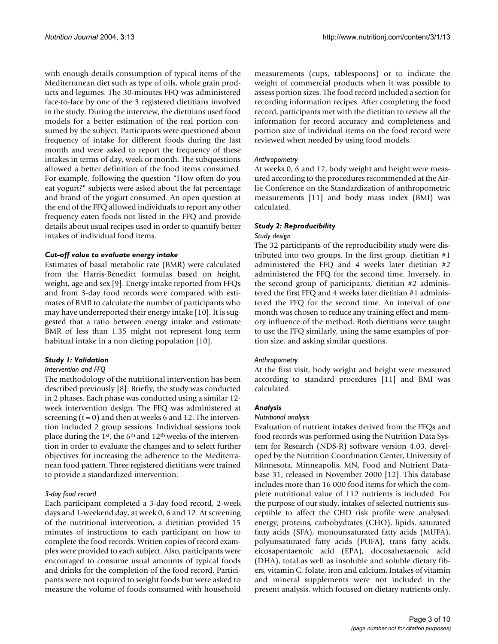with enough details consumption of typical items of the Mediterranean diet such as type of oils, whole grain products and legumes. The 30-minutes FFQ was administered face-to-face by one of the 3 registered dietitians involved in the study. During the interview, the dietitians used food models for a better estimation of the real portion consumed by the subject. Participants were questioned about frequency of intake for different foods during the last month and were asked to report the frequency of these intakes in terms of day, week or month. The subquestions allowed a better definition of the food items consumed. For example, following the question "How often do you eat yogurt?" subjects were asked about the fat percentage and brand of the yogurt consumed. An open question at the end of the FFQ allowed individuals to report any other frequency eaten foods not listed in the FFQ and provide details about usual recipes used in order to quantify better intakes of individual food items.

# *Cut-off value to evaluate energy intake*

Estimates of basal metabolic rate (BMR) were calculated from the Harris-Benedict formulas based on height, weight, age and sex [9]. Energy intake reported from FFQs and from 3-day food records were compared with estimates of BMR to calculate the number of participants who may have underreported their energy intake [10]. It is suggested that a ratio between energy intake and estimate BMR of less than 1.35 might not represent long term habitual intake in a non dieting population [10].

# *Study 1: Validation*

#### *Intervention and FFQ*

The methodology of the nutritional intervention has been described previously [8]. Briefly, the study was conducted in 2 phases. Each phase was conducted using a similar 12 week intervention design. The FFQ was administered at screening  $(t = 0)$  and then at weeks 6 and 12. The intervention included 2 group sessions. Individual sessions took place during the 1st, the 6th and 12th weeks of the intervention in order to evaluate the changes and to select further objectives for increasing the adherence to the Mediterranean food pattern. Three registered dietitians were trained to provide a standardized intervention.

# *3-day food record*

Each participant completed a 3-day food record, 2-week days and 1-weekend day, at week 0, 6 and 12. At screening of the nutritional intervention, a dietitian provided 15 minutes of instructions to each participant on how to complete the food records. Written copies of record examples were provided to each subject. Also, participants were encouraged to consume usual amounts of typical foods and drinks for the completion of the food record. Participants were not required to weight foods but were asked to measure the volume of foods consumed with household measurements (cups, tablespoons) or to indicate the weight of commercial products when it was possible to assess portion sizes. The food record included a section for recording information recipes. After completing the food record, participants met with the dietitian to review all the information for record accuracy and completeness and portion size of individual items on the food record were reviewed when needed by using food models.

# *Anthropometry*

At weeks 0, 6 and 12, body weight and height were measured according to the procedures recommended at the Airlie Conference on the Standardization of anthropometric measurements [11] and body mass index (BMI) was calculated.

# *Study 2: Reproducibility*

#### *Study design*

The 32 participants of the reproducibility study were distributed into two groups. In the first group, dietitian #1 administered the FFQ and 4 weeks later dietitian #2 administered the FFQ for the second time. Inversely, in the second group of participants, dietitian #2 administered the first FFQ and 4 weeks later dietitian #1 administered the FFQ for the second time. An interval of one month was chosen to reduce any training effect and memory influence of the method. Both dietitians were taught to use the FFQ similarly, using the same examples of portion size, and asking similar questions.

# *Anthropometry*

At the first visit, body weight and height were measured according to standard procedures [11] and BMI was calculated.

# *Analysis*

#### *Nutritional analysis*

Evaluation of nutrient intakes derived from the FFQs and food records was performed using the Nutrition Data System for Research (NDS-R) software version 4.03, developed by the Nutrition Coordination Center, University of Minnesota, Minneapolis, MN, Food and Nutrient Database 31, released in November 2000 [12]. This database includes more than 16 000 food items for which the complete nutritional value of 112 nutrients is included. For the purpose of our study, intakes of selected nutrients susceptible to affect the CHD risk profile were analysed: energy, proteins, carbohydrates (CHO), lipids, saturated fatty acids (SFA), monounsaturated fatty acids (MUFA), polyunsaturated fatty acids (PUFA), trans fatty acids, eicosapentaenoic acid (EPA), docosahexaenoic acid (DHA), total as well as insoluble and soluble dietary fibers, vitamin C, folate, iron and calcium. Intakes of vitamin and mineral supplements were not included in the present analysis, which focused on dietary nutrients only.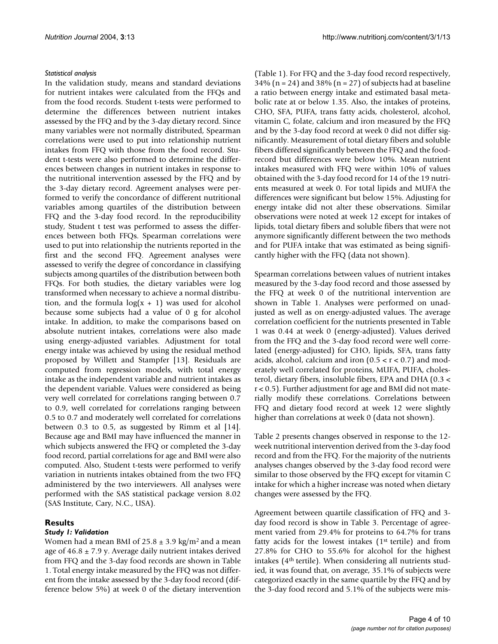# *Statistical analysis*

In the validation study, means and standard deviations for nutrient intakes were calculated from the FFQs and from the food records. Student t-tests were performed to determine the differences between nutrient intakes assessed by the FFQ and by the 3-day dietary record. Since many variables were not normally distributed, Spearman correlations were used to put into relationship nutrient intakes from FFQ with those from the food record. Student t-tests were also performed to determine the differences between changes in nutrient intakes in response to the nutritional intervention assessed by the FFQ and by the 3-day dietary record. Agreement analyses were performed to verify the concordance of different nutritional variables among quartiles of the distribution between FFQ and the 3-day food record. In the reproducibility study, Student t test was performed to assess the differences between both FFQs. Spearman correlations were used to put into relationship the nutrients reported in the first and the second FFQ. Agreement analyses were assessed to verify the degree of concordance in classifying subjects among quartiles of the distribution between both FFQs. For both studies, the dietary variables were log transformed when necessary to achieve a normal distribution, and the formula  $log(x + 1)$  was used for alcohol because some subjects had a value of 0 g for alcohol intake. In addition, to make the comparisons based on absolute nutrient intakes, correlations were also made using energy-adjusted variables. Adjustment for total energy intake was achieved by using the residual method proposed by Willett and Stampfer [13]. Residuals are computed from regression models, with total energy intake as the independent variable and nutrient intakes as the dependent variable. Values were considered as being very well correlated for correlations ranging between 0.7 to 0.9, well correlated for correlations ranging between 0.5 to 0.7 and moderately well correlated for correlations between 0.3 to 0.5, as suggested by Rimm et al [14]. Because age and BMI may have influenced the manner in which subjects answered the FFQ or completed the 3-day food record, partial correlations for age and BMI were also computed. Also, Student t-tests were performed to verify variation in nutrients intakes obtained from the two FFQ administered by the two interviewers. All analyses were performed with the SAS statistical package version 8.02 (SAS Institute, Cary, N.C., USA).

# **Results**

# *Study 1: Validation*

Women had a mean BMI of  $25.8 \pm 3.9$  kg/m<sup>2</sup> and a mean age of  $46.8 \pm 7.9$  y. Average daily nutrient intakes derived from FFQ and the 3-day food records are shown in Table [1.](#page-4-0) Total energy intake measured by the FFQ was not different from the intake assessed by the 3-day food record (difference below 5%) at week 0 of the dietary intervention

(Table [1\)](#page-4-0). For FFQ and the 3-day food record respectively,  $34\%$  (n = 24) and  $38\%$  (n = 27) of subjects had at baseline a ratio between energy intake and estimated basal metabolic rate at or below 1.35. Also, the intakes of proteins, CHO, SFA, PUFA, trans fatty acids, cholesterol, alcohol, vitamin C, folate, calcium and iron measured by the FFQ and by the 3-day food record at week 0 did not differ significantly. Measurement of total dietary fibers and soluble fibers differed significantly between the FFQ and the foodrecord but differences were below 10%. Mean nutrient intakes measured with FFQ were within 10% of values obtained with the 3-day food record for 14 of the 19 nutrients measured at week 0. For total lipids and MUFA the differences were significant but below 15%. Adjusting for energy intake did not alter these observations. Similar observations were noted at week 12 except for intakes of lipids, total dietary fibers and soluble fibers that were not anymore significantly different between the two methods and for PUFA intake that was estimated as being significantly higher with the FFQ (data not shown).

Spearman correlations between values of nutrient intakes measured by the 3-day food record and those assessed by the FFQ at week 0 of the nutritional intervention are shown in Table [1](#page-4-0). Analyses were performed on unadjusted as well as on energy-adjusted values. The average correlation coefficient for the nutrients presented in Table [1](#page-4-0) was 0.44 at week 0 (energy-adjusted). Values derived from the FFQ and the 3-day food record were well correlated (energy-adjusted) for CHO, lipids, SFA, trans fatty acids, alcohol, calcium and iron  $(0.5 < r < 0.7)$  and moderately well correlated for proteins, MUFA, PUFA, cholesterol, dietary fibers, insoluble fibers, EPA and DHA (0.3 < r < 0.5). Further adjustment for age and BMI did not materially modify these correlations. Correlations between FFQ and dietary food record at week 12 were slightly higher than correlations at week 0 (data not shown).

Table [2](#page-4-1) presents changes observed in response to the 12 week nutritional intervention derived from the 3-day food record and from the FFQ. For the majority of the nutrients analyses changes observed by the 3-day food record were similar to those observed by the FFQ except for vitamin C intake for which a higher increase was noted when dietary changes were assessed by the FFQ.

Agreement between quartile classification of FFQ and 3 day food record is show in Table [3](#page-5-0). Percentage of agreement varied from 29.4% for proteins to 64.7% for trans fatty acids for the lowest intakes  $(1<sup>st</sup> tertile)$  and from 27.8% for CHO to 55.6% for alcohol for the highest intakes (4th tertile). When considering all nutrients studied, it was found that, on average, 35.1% of subjects were categorized exactly in the same quartile by the FFQ and by the 3-day food record and 5.1% of the subjects were mis-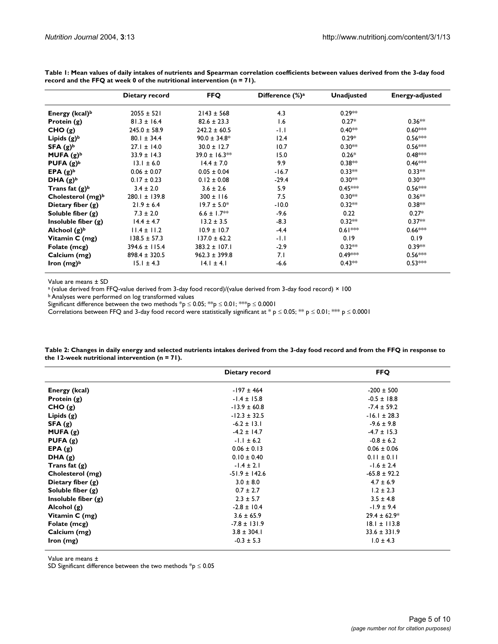|                            | Dietary record    | <b>FFQ</b>        | Difference $(\%)^a$ | <b>Unadjusted</b> | <b>Energy-adjusted</b> |
|----------------------------|-------------------|-------------------|---------------------|-------------------|------------------------|
| Energy (kcal) <sup>b</sup> | $2055 \pm 521$    | $2143 \pm 568$    | 4.3                 | $0.29**$          |                        |
| Protein $(g)$              | $81.3 \pm 16.4$   | $82.6 \pm 23.3$   | 1.6                 | $0.27*$           | $0.36**$               |
| CHO(g)                     | $245.0 \pm 58.9$  | $242.2 \pm 60.5$  | -1.1                | $0.40**$          | $0.60***$              |
| Lipids $(g)^b$             | $80.1 \pm 34.4$   | $90.0 \pm 34.8^*$ | 12.4                | $0.29*$           | $0.56***$              |
| SFA $(g)^b$                | $27.1 \pm 14.0$   | $30.0 \pm 12.7$   | 10.7                | $0.30***$         | $0.56***$              |
| MUFA $(g)^b$               | $33.9 \pm 14.3$   | 39.0 ± 16.3**     | 15.0                | $0.26*$           | $0.48***$              |
| PUFA $(g)^b$               | $13.1 \pm 6.0$    | $14.4 \pm 7.0$    | 9.9                 | $0.38**$          | $0.46***$              |
| EPA $(g)^b$                | $0.06 \pm 0.07$   | $0.05 \pm 0.04$   | $-16.7$             | $0.33**$          | $0.33**$               |
| DHA $(g)^b$                | $0.17 \pm 0.23$   | $0.12 \pm 0.08$   | $-29.4$             | $0.30***$         | $0.30***$              |
| Trans fat $(g)^b$          | $3.4 \pm 2.0$     | $3.6 \pm 2.6$     | 5.9                 | $0.45***$         | $0.56***$              |
| Cholesterol $(mg)^b$       | $280.1 \pm 139.8$ | $300 \pm 116$     | 7.5                 | $0.30***$         | $0.36***$              |
| Dietary fiber $(g)$        | $21.9 \pm 6.4$    | $19.7 \pm 5.0*$   | $-10.0$             | $0.32**$          | $0.38**$               |
| Soluble fiber $(g)$        | $7.3 \pm 2.0$     | $6.6 \pm 1.7**$   | $-9.6$              | 0.22              | $0.27*$                |
| Insoluble fiber $(g)$      | $14.4 \pm 4.7$    | $13.2 \pm 3.5$    | $-8.3$              | $0.32**$          | $0.37**$               |
| Alchool $(g)^b$            | $11.4 \pm 11.2$   | $10.9 \pm 10.7$   | $-4.4$              | $0.61***$         | $0.66***$              |
| Vitamin C (mg)             | $138.5 \pm 57.3$  | $137.0 \pm 62.2$  | $-1.1$              | 0.19              | 0.19                   |
| Folate (mcg)               | $394.6 \pm 115.4$ | $383.2 \pm 107.1$ | $-2.9$              | $0.32**$          | $0.39**$               |
| Calcium (mg)               | $898.4 \pm 320.5$ | $962.3 \pm 399.8$ | 7.1                 | $0.49***$         | $0.56***$              |
| Iron $(mg)^b$              | $15.1 \pm 4.3$    | $14.1 \pm 4.1$    | $-6.6$              | $0.43**$          | $0.53***$              |

<span id="page-4-0"></span>**Table 1: Mean values of daily intakes of nutrients and Spearman correlation coefficients between values derived from the 3-day food record and the FFQ at week 0 of the nutritional intervention (n = 71).**

Value are means ± SD

a (value derived from FFQ-value derived from 3-day food record)/(value derived from 3-day food record) × 100

b Analyses were performed on log transformed values

Significant difference between the two methods  $p \leq 0.05$ ; \*\*p  $\leq 0.01$ ; \*\*p  $\leq 0.0001$ 

Correlations between FFQ and 3-day food record were statistically significant at \* p ≤ 0.05; \*\* p ≤ 0.01; \*\*\* p ≤ 0.0001

|                       | Dietary record    | <b>FFQ</b>       |
|-----------------------|-------------------|------------------|
| Energy (kcal)         | $-197 \pm 464$    | $-200 \pm 500$   |
| Protein (g)           | $-1.4 \pm 15.8$   | $-0.5 \pm 18.8$  |
| CHO(g)                | $-13.9 \pm 60.8$  | $-7.4 \pm 59.2$  |
| Lipids $(g)$          | $-12.3 \pm 32.5$  | $-16.1 \pm 28.3$ |
| SFA(g)                | $-6.2 \pm 13.1$   | $-9.6 \pm 9.8$   |
| MUFA(g)               | $-4.2 \pm 14.7$   | $-4.7 \pm 15.3$  |
| PUFA $(g)$            | $-1.1 \pm 6.2$    | $-0.8 \pm 6.2$   |
| EPA(g)                | $0.06 \pm 0.13$   | $0.06 \pm 0.06$  |
| DHA(g)                | $0.10 \pm 0.40$   | $0.11 \pm 0.11$  |
| Trans fat $(g)$       | $-1.4 \pm 2.1$    | $-1.6 \pm 2.4$   |
| Cholesterol (mg)      | $-51.9 \pm 142.6$ | $-65.8 \pm 92.2$ |
| Dietary fiber $(g)$   | $3.0 \pm 8.0$     | $4.7 \pm 6.9$    |
| Soluble fiber $(g)$   | $0.7 \pm 2.7$     | $1.2 \pm 2.3$    |
| Insoluble fiber $(g)$ | $2.3 \pm 5.7$     | $3.5 \pm 4.8$    |
| Alcohol $(g)$         | $-2.8 \pm 10.4$   | $-1.9 \pm 9.4$   |
| Vitamin C (mg)        | $3.6 \pm 65.9$    | $29.4 \pm 62.9*$ |
| Folate (mcg)          | $-7.8 \pm 131.9$  | $18.1 \pm 113.8$ |
| Calcium (mg)          | $3.8 \pm 304.1$   | $33.6 \pm 331.9$ |
| lron (mg)             | $-0.3 \pm 5.3$    | $1.0 \pm 4.3$    |

<span id="page-4-1"></span>**Table 2: Changes in daily energy and selected nutrients intakes derived from the 3-day food record and from the FFQ in response to the 12-week nutritional intervention (n = 71).**

Value are means ±

SD Significant difference between the two methods  ${}^{*}p \leq 0.05$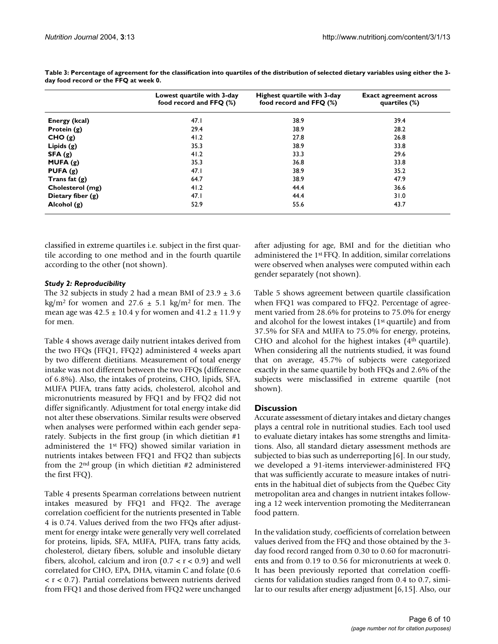|                     | Lowest quartile with 3-day<br>food record and FFQ (%) | Highest quartile with 3-day<br>food record and $FFQ$ (%) | <b>Exact agreement across</b><br>quartiles $(\%)$ |
|---------------------|-------------------------------------------------------|----------------------------------------------------------|---------------------------------------------------|
| Energy (kcal)       | 47.1                                                  | 38.9                                                     | 39.4                                              |
| Protein $(g)$       | 29.4                                                  | 38.9                                                     | 28.2                                              |
| CHO(g)              | 41.2                                                  | 27.8                                                     | 26.8                                              |
| Lipids $(g)$        | 35.3                                                  | 38.9                                                     | 33.8                                              |
| SFA(g)              | 41.2                                                  | 33.3                                                     | 29.6                                              |
| MUFA(g)             | 35.3                                                  | 36.8                                                     | 33.8                                              |
| PUFA $(g)$          | 47.1                                                  | 38.9                                                     | 35.2                                              |
| Trans fat $(g)$     | 64.7                                                  | 38.9                                                     | 47.9                                              |
| Cholesterol (mg)    | 41.2                                                  | 44.4                                                     | 36.6                                              |
| Dietary fiber $(g)$ | 47.1                                                  | 44.4                                                     | 31.0                                              |
| Alcohol $(g)$       | 52.9                                                  | 55.6                                                     | 43.7                                              |

<span id="page-5-0"></span>**Table 3: Percentage of agreement for the classification into quartiles of the distribution of selected dietary variables using either the 3 day food record or the FFQ at week 0.**

classified in extreme quartiles i.e. subject in the first quartile according to one method and in the fourth quartile according to the other (not shown).

# *Study 2: Reproducibility*

The 32 subjects in study 2 had a mean BMI of  $23.9 \pm 3.6$ kg/m<sup>2</sup> for women and 27.6  $\pm$  5.1 kg/m<sup>2</sup> for men. The mean age was  $42.5 \pm 10.4$  y for women and  $41.2 \pm 11.9$  y for men.

Table [4](#page-6-0) shows average daily nutrient intakes derived from the two FFQs (FFQ1, FFQ2) administered 4 weeks apart by two different dietitians. Measurement of total energy intake was not different between the two FFQs (difference of 6.8%). Also, the intakes of proteins, CHO, lipids, SFA, MUFA PUFA, trans fatty acids, cholesterol, alcohol and micronutrients measured by FFQ1 and by FFQ2 did not differ significantly. Adjustment for total energy intake did not alter these observations. Similar results were observed when analyses were performed within each gender separately. Subjects in the first group (in which dietitian #1 administered the 1st FFQ) showed similar variation in nutrients intakes between FFQ1 and FFQ2 than subjects from the 2nd group (in which dietitian #2 administered the first FFQ).

Table [4](#page-6-0) presents Spearman correlations between nutrient intakes measured by FFQ1 and FFQ2. The average correlation coefficient for the nutrients presented in Table [4](#page-6-0) is 0.74. Values derived from the two FFQs after adjustment for energy intake were generally very well correlated for proteins, lipids, SFA, MUFA, PUFA, trans fatty acids, cholesterol, dietary fibers, soluble and insoluble dietary fibers, alcohol, calcium and iron  $(0.7 < r < 0.9)$  and well correlated for CHO, EPA, DHA, vitamin C and folate (0.6 < r < 0.7). Partial correlations between nutrients derived from FFQ1 and those derived from FFQ2 were unchanged

after adjusting for age, BMI and for the dietitian who administered the 1st FFQ. In addition, similar correlations were observed when analyses were computed within each gender separately (not shown).

Table [5](#page-6-1) shows agreement between quartile classification when FFQ1 was compared to FFQ2. Percentage of agreement varied from 28.6% for proteins to 75.0% for energy and alcohol for the lowest intakes (1<sup>st</sup> quartile) and from 37.5% for SFA and MUFA to 75.0% for energy, proteins, CHO and alcohol for the highest intakes  $(4<sup>th</sup>$  quartile). When considering all the nutrients studied, it was found that on average, 45.7% of subjects were categorized exactly in the same quartile by both FFQs and 2.6% of the subjects were misclassified in extreme quartile (not shown).

# **Discussion**

Accurate assessment of dietary intakes and dietary changes plays a central role in nutritional studies. Each tool used to evaluate dietary intakes has some strengths and limitations. Also, all standard dietary assessment methods are subjected to bias such as underreporting [6]. In our study, we developed a 91-items interviewer-administered FFQ that was sufficiently accurate to measure intakes of nutrients in the habitual diet of subjects from the Québec City metropolitan area and changes in nutrient intakes following a 12 week intervention promoting the Mediterranean food pattern.

In the validation study, coefficients of correlation between values derived from the FFQ and those obtained by the 3 day food record ranged from 0.30 to 0.60 for macronutrients and from 0.19 to 0.56 for micronutrients at week 0. It has been previously reported that correlation coefficients for validation studies ranged from 0.4 to 0.7, similar to our results after energy adjustment [6,15]. Also, our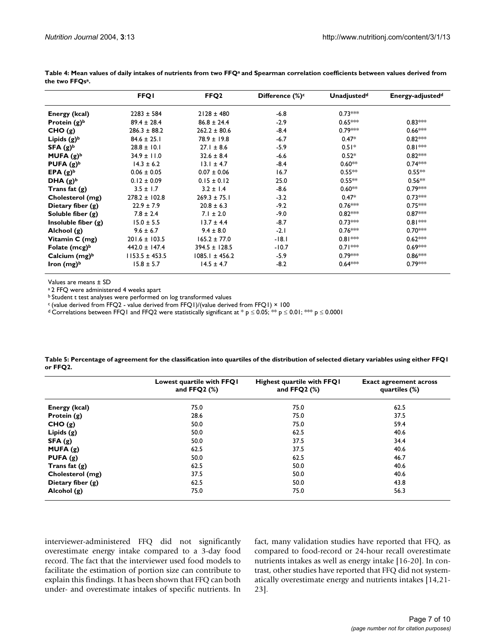|                       | <b>FFQI</b>        | FFQ <sub>2</sub>   | Difference $(\%)^c$ | Unadjusted <sup>d</sup> | Energy-adjusted <sup>d</sup> |
|-----------------------|--------------------|--------------------|---------------------|-------------------------|------------------------------|
| Energy (kcal)         | $2283 \pm 584$     | $2128 \pm 480$     | $-6.8$              | $0.73***$               |                              |
| Protein $(g)^b$       | $89.4 \pm 28.4$    | $86.8 \pm 24.4$    | $-2.9$              | $0.65***$               | $0.83***$                    |
| CHO(g)                | $286.3 \pm 88.2$   | $262.2 \pm 80.6$   | $-8.4$              | $0.79***$               | $0.66***$                    |
| Lipids $(g)^b$        | $84.6 \pm 25.1$    | $78.9 \pm 19.8$    | $-6.7$              | $0.47*$                 | $0.82***$                    |
| $SFA(g)^b$            | $28.8 \pm 10.1$    | $27.1 \pm 8.6$     | $-5.9$              | $0.51*$                 | $0.81***$                    |
| MUFA $(g)^b$          | $34.9 \pm 11.0$    | $32.6 \pm 8.4$     | $-6.6$              | $0.52*$                 | $0.82***$                    |
| PUFA $(g)^b$          | $14.3 \pm 6.2$     | $13.1 \pm 4.7$     | $-8.4$              | $0.60**$                | $0.74***$                    |
| EPA $(g)^b$           | $0.06 \pm 0.05$    | $0.07 \pm 0.06$    | 16.7                | $0.55***$               | $0.55***$                    |
| DHA $(g)^b$           | $0.12 \pm 0.09$    | $0.15 \pm 0.12$    | 25.0                | $0.55***$               | $0.56***$                    |
| Trans fat $(g)$       | $3.5 \pm 1.7$      | $3.2 \pm 1.4$      | $-8.6$              | $0.60**$                | $0.79***$                    |
| Cholesterol (mg)      | $278.2 \pm 102.8$  | $269.3 \pm 75.1$   | $-3.2$              | $0.47*$                 | $0.73***$                    |
| Dietary fiber $(g)$   | $22.9 \pm 7.9$     | $20.8 \pm 6.3$     | $-9.2$              | $0.76***$               | $0.75***$                    |
| Soluble fiber $(g)$   | $7.8 \pm 2.4$      | $7.1 \pm 2.0$      | $-9.0$              | $0.82***$               | $0.87***$                    |
| Insoluble fiber $(g)$ | $15.0 \pm 5.5$     | $13.7 \pm 4.4$     | $-8.7$              | $0.73***$               | $0.81***$                    |
| Alchool (g)           | $9.6 \pm 6.7$      | $9.4 \pm 8.0$      | $-2.1$              | $0.76***$               | $0.70***$                    |
| Vitamin C (mg)        | $201.6 \pm 103.5$  | $165.2 \pm 77.0$   | $-18.1$             | $0.81***$               | $0.62***$                    |
| Folate $(mcg)^b$      | $442.0 \pm 147.4$  | $394.5 \pm 128.5$  | $-10.7$             | $0.71***$               | $0.69***$                    |
| Calcium $(mg)^b$      | $1153.5 \pm 453.5$ | $1085.1 \pm 456.2$ | $-5.9$              | $0.79***$               | $0.86***$                    |
| Iron $(mg)^b$         | $15.8 \pm 5.7$     | $14.5 \pm 4.7$     | $-8.2$              | $0.64***$               | $0.79***$                    |

<span id="page-6-0"></span>Table 4: Mean values of daily intakes of nutrients from two FFQ<sup>a</sup> and Spearman correlation coefficients between values derived from **the two FFQsa.**

Values are means ± SD

a 2 FFQ were administered 4 weeks apart

b Student t test analyses were performed on log transformed values

 $c$  (value derived from FFQ2 - value derived from FFQ1)/(value derived from FFQ1)  $\times$  100

d Correlations between FFQ1 and FFQ2 were statistically significant at \* p  $\leq$  0.05; \*\* p  $\leq$  0.01; \*\* p  $\leq$  0.0001

|                     | Lowest quartile with FFQ1<br>and $FFQ2$ $(\%)$ | Highest quartile with FFQ1<br>and $FFQ2$ $(\%)$ | <b>Exact agreement across</b><br>quartiles (%) |
|---------------------|------------------------------------------------|-------------------------------------------------|------------------------------------------------|
| Energy (kcal)       | 75.0                                           | 75.0                                            | 62.5                                           |
| Protein $(g)$       | 28.6                                           | 75.0                                            | 37.5                                           |
| CHO(g)              | 50.0                                           | 75.0                                            | 59.4                                           |
| Lipids $(g)$        | 50.0                                           | 62.5                                            | 40.6                                           |
| SFA(g)              | 50.0                                           | 37.5                                            | 34.4                                           |
| MUFA(g)             | 62.5                                           | 37.5                                            | 40.6                                           |
| PUFA $(g)$          | 50.0                                           | 62.5                                            | 46.7                                           |
| Trans fat $(g)$     | 62.5                                           | 50.0                                            | 40.6                                           |
| Cholesterol (mg)    | 37.5                                           | 50.0                                            | 40.6                                           |
| Dietary fiber $(g)$ | 62.5                                           | 50.0                                            | 43.8                                           |
| Alcohol $(g)$       | 75.0                                           | 75.0                                            | 56.3                                           |

<span id="page-6-1"></span>**Table 5: Percentage of agreement for the classification into quartiles of the distribution of selected dietary variables using either FFQ1 or FFQ2.**

interviewer-administered FFQ did not significantly overestimate energy intake compared to a 3-day food record. The fact that the interviewer used food models to facilitate the estimation of portion size can contribute to explain this findings. It has been shown that FFQ can both under- and overestimate intakes of specific nutrients. In fact, many validation studies have reported that FFQ, as compared to food-record or 24-hour recall overestimate nutrients intakes as well as energy intake [16-20]. In contrast, other studies have reported that FFQ did not systematically overestimate energy and nutrients intakes [14,21- 23].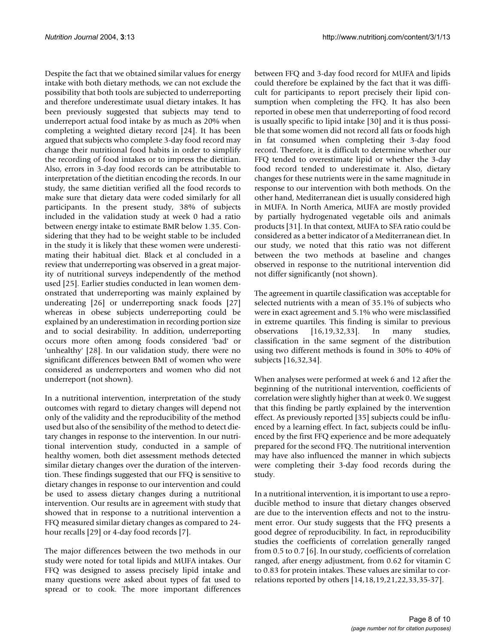Despite the fact that we obtained similar values for energy intake with both dietary methods, we can not exclude the possibility that both tools are subjected to underreporting and therefore underestimate usual dietary intakes. It has been previously suggested that subjects may tend to underreport actual food intake by as much as 20% when completing a weighted dietary record [24]. It has been argued that subjects who complete 3-day food record may change their nutritional food habits in order to simplify the recording of food intakes or to impress the dietitian. Also, errors in 3-day food records can be attributable to interpretation of the dietitian encoding the records. In our study, the same dietitian verified all the food records to make sure that dietary data were coded similarly for all participants. In the present study, 38% of subjects included in the validation study at week 0 had a ratio between energy intake to estimate BMR below 1.35. Considering that they had to be weight stable to be included in the study it is likely that these women were underestimating their habitual diet. Black et al concluded in a review that underreporting was observed in a great majority of nutritional surveys independently of the method used [25]. Earlier studies conducted in lean women demonstrated that underreporting was mainly explained by undereating [26] or underreporting snack foods [27] whereas in obese subjects underreporting could be explained by an underestimation in recording portion size and to social desirability. In addition, underreporting occurs more often among foods considered 'bad' or 'unhealthy' [28]. In our validation study, there were no significant differences between BMI of women who were considered as underreporters and women who did not underreport (not shown).

In a nutritional intervention, interpretation of the study outcomes with regard to dietary changes will depend not only of the validity and the reproducibility of the method used but also of the sensibility of the method to detect dietary changes in response to the intervention. In our nutritional intervention study, conducted in a sample of healthy women, both diet assessment methods detected similar dietary changes over the duration of the intervention. These findings suggested that our FFQ is sensitive to dietary changes in response to our intervention and could be used to assess dietary changes during a nutritional intervention. Our results are in agreement with study that showed that in response to a nutritional intervention a FFQ measured similar dietary changes as compared to 24 hour recalls [29] or 4-day food records [7].

The major differences between the two methods in our study were noted for total lipids and MUFA intakes. Our FFQ was designed to assess precisely lipid intake and many questions were asked about types of fat used to spread or to cook. The more important differences

between FFQ and 3-day food record for MUFA and lipids could therefore be explained by the fact that it was difficult for participants to report precisely their lipid consumption when completing the FFQ. It has also been reported in obese men that underreporting of food record is usually specific to lipid intake [30] and it is thus possible that some women did not record all fats or foods high in fat consumed when completing their 3-day food record. Therefore, it is difficult to determine whether our FFQ tended to overestimate lipid or whether the 3-day food record tended to underestimate it. Also, dietary changes for these nutrients were in the same magnitude in response to our intervention with both methods. On the other hand, Mediterranean diet is usually considered high in MUFA. In North America, MUFA are mostly provided by partially hydrogenated vegetable oils and animals products [31]. In that context, MUFA to SFA ratio could be considered as a better indicator of a Mediterranean diet. In our study, we noted that this ratio was not different between the two methods at baseline and changes observed in response to the nutritional intervention did not differ significantly (not shown).

The agreement in quartile classification was acceptable for selected nutrients with a mean of 35.1% of subjects who were in exact agreement and 5.1% who were misclassified in extreme quartiles. This finding is similar to previous observations [16,19,32,33]. In many studies, classification in the same segment of the distribution using two different methods is found in 30% to 40% of subjects [16,32,34].

When analyses were performed at week 6 and 12 after the beginning of the nutritional intervention, coefficients of correlation were slightly higher than at week 0. We suggest that this finding be partly explained by the intervention effect. As previously reported [35] subjects could be influenced by a learning effect. In fact, subjects could be influenced by the first FFQ experience and be more adequately prepared for the second FFQ. The nutritional intervention may have also influenced the manner in which subjects were completing their 3-day food records during the study.

In a nutritional intervention, it is important to use a reproducible method to insure that dietary changes observed are due to the intervention effects and not to the instrument error. Our study suggests that the FFQ presents a good degree of reproducibility. In fact, in reproducibility studies the coefficients of correlation generally ranged from 0.5 to 0.7 [6]. In our study, coefficients of correlation ranged, after energy adjustment, from 0.62 for vitamin C to 0.83 for protein intakes. These values are similar to correlations reported by others [14,18,19,21,22,33,35-37].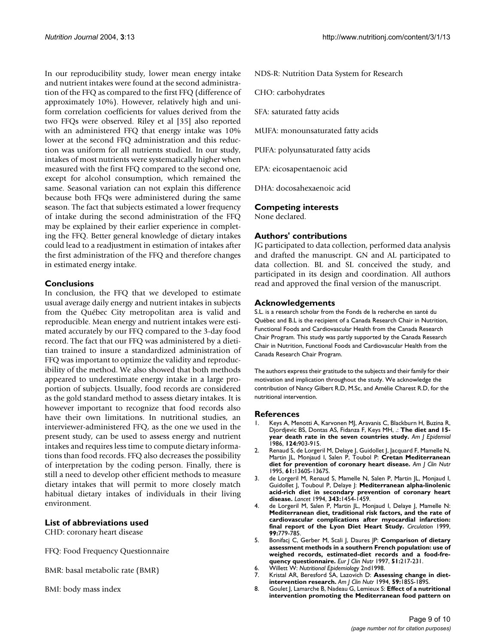In our reproducibility study, lower mean energy intake and nutrient intakes were found at the second administration of the FFQ as compared to the first FFQ (difference of approximately 10%). However, relatively high and uniform correlation coefficients for values derived from the two FFQs were observed. Riley et al [35] also reported with an administered FFQ that energy intake was 10% lower at the second FFQ administration and this reduction was uniform for all nutrients studied. In our study, intakes of most nutrients were systematically higher when measured with the first FFQ compared to the second one, except for alcohol consumption, which remained the same. Seasonal variation can not explain this difference because both FFQs were administered during the same season. The fact that subjects estimated a lower frequency of intake during the second administration of the FFQ may be explained by their earlier experience in completing the FFQ. Better general knowledge of dietary intakes could lead to a readjustment in estimation of intakes after the first administration of the FFQ and therefore changes in estimated energy intake.

# **Conclusions**

In conclusion, the FFQ that we developed to estimate usual average daily energy and nutrient intakes in subjects from the Québec City metropolitan area is valid and reproducible. Mean energy and nutrient intakes were estimated accurately by our FFQ compared to the 3-day food record. The fact that our FFQ was administered by a dietitian trained to insure a standardized administration of FFQ was important to optimize the validity and reproducibility of the method. We also showed that both methods appeared to underestimate energy intake in a large proportion of subjects. Usually, food records are considered as the gold standard method to assess dietary intakes. It is however important to recognize that food records also have their own limitations. In nutritional studies, an interviewer-administered FFQ, as the one we used in the present study, can be used to assess energy and nutrient intakes and requires less time to compute dietary informations than food records. FFQ also decreases the possibility of interpretation by the coding person. Finally, there is still a need to develop other efficient methods to measure dietary intakes that will permit to more closely match habitual dietary intakes of individuals in their living environment.

# **List of abbreviations used**

CHD: coronary heart disease

FFQ: Food Frequency Questionnaire

BMR: basal metabolic rate (BMR)

BMI: body mass index

NDS-R: Nutrition Data System for Research

CHO: carbohydrates

SFA: saturated fatty acids

MUFA: monounsaturated fatty acids

PUFA: polyunsaturated fatty acids

EPA: eicosapentaenoic acid

DHA: docosahexaenoic acid

# **Competing interests**

None declared.

# **Authors' contributions**

JG participated to data collection, performed data analysis and drafted the manuscript. GN and AL participated to data collection. BL and SL conceived the study, and participated in its design and coordination. All authors read and approved the final version of the manuscript.

#### **Acknowledgements**

S.L. is a research scholar from the Fonds de la recherche en santé du Québec and B.L is the recipient of a Canada Research Chair in Nutrition, Functional Foods and Cardiovascular Health from the Canada Research Chair Program. This study was partly supported by the Canada Research Chair in Nutrition, Functional Foods and Cardiovascular Health from the Canada Research Chair Program.

The authors express their gratitude to the subjects and their family for their motivation and implication throughout the study. We acknowledge the contribution of Nancy Gilbert R.D, M.Sc, and Amélie Charest R.D, for the nutritional intervention.

#### **References**

- 1. Keys A, Menotti A, Karvonen MJ, Aravanis C, Blackburn H, Buzina R, Djordjevic BS, Dontas AS, Fidanza F, Keys MH, .: **[The diet and 15](http://www.ncbi.nlm.nih.gov/entrez/query.fcgi?cmd=Retrieve&db=PubMed&dopt=Abstract&list_uids=3776973) [year death rate in the seven countries study.](http://www.ncbi.nlm.nih.gov/entrez/query.fcgi?cmd=Retrieve&db=PubMed&dopt=Abstract&list_uids=3776973)** *Am J Epidemiol* 1986, **124:**903-915.
- 2. Renaud S, de Lorgeril M, Delaye J, Guidollet J, Jacquard F, Mamelle N, Martin JL, Monjaud I, Salen P, Toubol P: **[Cretan Mediterranean](http://www.ncbi.nlm.nih.gov/entrez/query.fcgi?cmd=Retrieve&db=PubMed&dopt=Abstract&list_uids=7754988) [diet for prevention of coronary heart disease.](http://www.ncbi.nlm.nih.gov/entrez/query.fcgi?cmd=Retrieve&db=PubMed&dopt=Abstract&list_uids=7754988)** *Am J Clin Nutr* 1995, **61:**1360S-1367S.
- 3. de Lorgeril M, Renaud S, Mamelle N, Salen P, Martin JL, Monjaud I, Guidollet J, Touboul P, Delaye J: **[Mediterranean alpha-linolenic](http://www.ncbi.nlm.nih.gov/entrez/query.fcgi?cmd=Retrieve&db=PubMed&dopt=Abstract&list_uids=7911176) [acid-rich diet in secondary prevention of coronary heart](http://www.ncbi.nlm.nih.gov/entrez/query.fcgi?cmd=Retrieve&db=PubMed&dopt=Abstract&list_uids=7911176) [disease.](http://www.ncbi.nlm.nih.gov/entrez/query.fcgi?cmd=Retrieve&db=PubMed&dopt=Abstract&list_uids=7911176)** *Lancet* 1994, **343:**1454-1459.
- 4. de Lorgeril M, Salen P, Martin JL, Monjaud I, Delaye J, Mamelle N: **Mediterranean diet, traditional risk factors, and the rate of [cardiovascular complications after myocardial infarction:](http://www.ncbi.nlm.nih.gov/entrez/query.fcgi?cmd=Retrieve&db=PubMed&dopt=Abstract&list_uids=9989963) [final report of the Lyon Diet Heart Study.](http://www.ncbi.nlm.nih.gov/entrez/query.fcgi?cmd=Retrieve&db=PubMed&dopt=Abstract&list_uids=9989963)** *Circulation* 1999, **99:**779-785.
- 5. Bonifacj C, Gerber M, Scali J, Daures JP: **[Comparison of dietary](http://www.ncbi.nlm.nih.gov/entrez/query.fcgi?cmd=Retrieve&db=PubMed&dopt=Abstract&list_uids=9104572) assessment methods in a southern French population: use of [weighed records, estimated-diet records and a food-fre](http://www.ncbi.nlm.nih.gov/entrez/query.fcgi?cmd=Retrieve&db=PubMed&dopt=Abstract&list_uids=9104572)[quency questionnaire.](http://www.ncbi.nlm.nih.gov/entrez/query.fcgi?cmd=Retrieve&db=PubMed&dopt=Abstract&list_uids=9104572)** *Eur J Clin Nutr* 1997, **51:**217-231.
- 6. Willett W: *Nutritional Epidemiology* 2nd1998.
- Kristal AR, Beresford SA, Lazovich D: [Assessing change in diet](http://www.ncbi.nlm.nih.gov/entrez/query.fcgi?cmd=Retrieve&db=PubMed&dopt=Abstract&list_uids=8279421)**[intervention research.](http://www.ncbi.nlm.nih.gov/entrez/query.fcgi?cmd=Retrieve&db=PubMed&dopt=Abstract&list_uids=8279421)** *Am J Clin Nutr* 1994, **59:**185S-189S.
- 8. Goulet J, Lamarche B, Nadeau G, Lemieux S: **[Effect of a nutritional](http://www.ncbi.nlm.nih.gov/entrez/query.fcgi?cmd=Retrieve&db=PubMed&dopt=Abstract&list_uids=12957689) [intervention promoting the Mediterranean food pattern on](http://www.ncbi.nlm.nih.gov/entrez/query.fcgi?cmd=Retrieve&db=PubMed&dopt=Abstract&list_uids=12957689)**